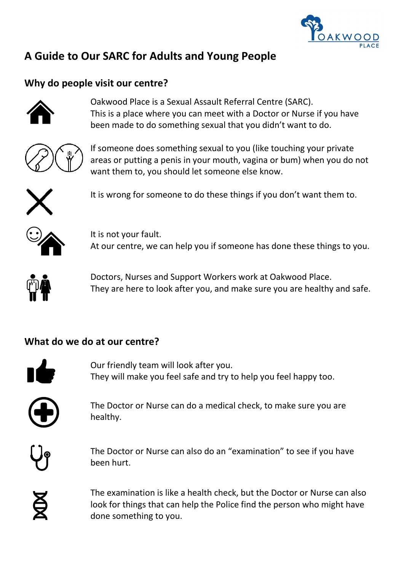

# **A Guide to Our SARC for Adults and Young People**

## **Why do people visit our centre?**



Oakwood Place is a Sexual Assault Referral Centre (SARC). This is a place where you can meet with a Doctor or Nurse if you have been made to do something sexual that you didn't want to do.



If someone does something sexual to you (like touching your private areas or putting a penis in your mouth, vagina or bum) when you do not want them to, you should let someone else know.



It is wrong for someone to do these things if you don't want them to.



It is not your fault. At our centre, we can help you if someone has done these things to you.



Doctors, Nurses and Support Workers work at Oakwood Place. They are here to look after you, and make sure you are healthy and safe.

#### **What do we do at our centre?**



Our friendly team will look after you. They will make you feel safe and try to help you feel happy too.

The Doctor or Nurse can do a medical check, to make sure you are healthy.



The Doctor or Nurse can also do an "examination" to see if you have been hurt.

**XD** 

The examination is like a health check, but the Doctor or Nurse can also look for things that can help the Police find the person who might have done something to you.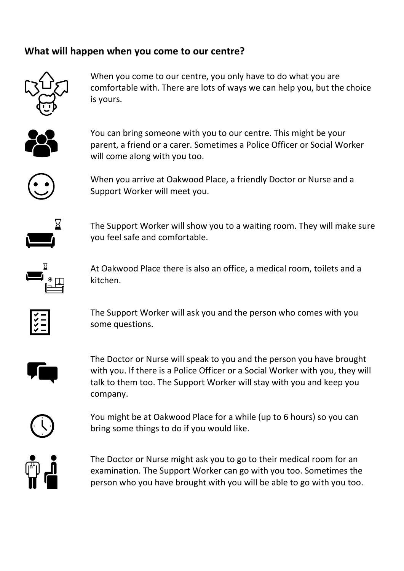### **What will happen when you come to our centre?**



When you come to our centre, you only have to do what you are comfortable with. There are lots of ways we can help you, but the choice is yours.



You can bring someone with you to our centre. This might be your parent, a friend or a carer. Sometimes a Police Officer or Social Worker will come along with you too.



When you arrive at Oakwood Place, a friendly Doctor or Nurse and a Support Worker will meet you.



The Support Worker will show you to a waiting room. They will make sure you feel safe and comfortable.



At Oakwood Place there is also an office, a medical room, toilets and a kitchen.



The Support Worker will ask you and the person who comes with you some questions.



The Doctor or Nurse will speak to you and the person you have brought with you. If there is a Police Officer or a Social Worker with you, they will talk to them too. The Support Worker will stay with you and keep you company.

You might be at Oakwood Place for a while (up to 6 hours) so you can bring some things to do if you would like.

The Doctor or Nurse might ask you to go to their medical room for an examination. The Support Worker can go with you too. Sometimes the person who you have brought with you will be able to go with you too.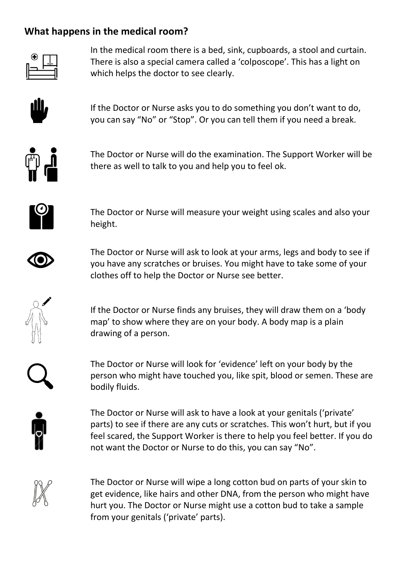### **What happens in the medical room?**



In the medical room there is a bed, sink, cupboards, a stool and curtain. There is also a special camera called a 'colposcope'. This has a light on which helps the doctor to see clearly.



If the Doctor or Nurse asks you to do something you don't want to do, you can say "No" or "Stop". Or you can tell them if you need a break.



The Doctor or Nurse will do the examination. The Support Worker will be there as well to talk to you and help you to feel ok.



The Doctor or Nurse will measure your weight using scales and also your height.



The Doctor or Nurse will ask to look at your arms, legs and body to see if you have any scratches or bruises. You might have to take some of your clothes off to help the Doctor or Nurse see better.



If the Doctor or Nurse finds any bruises, they will draw them on a 'body map' to show where they are on your body. A body map is a plain drawing of a person.

The Doctor or Nurse will look for 'evidence' left on your body by the person who might have touched you, like spit, blood or semen. These are bodily fluids.



The Doctor or Nurse will ask to have a look at your genitals ('private' parts) to see if there are any cuts or scratches. This won't hurt, but if you feel scared, the Support Worker is there to help you feel better. If you do not want the Doctor or Nurse to do this, you can say "No".

The Doctor or Nurse will wipe a long cotton bud on parts of your skin to get evidence, like hairs and other DNA, from the person who might have hurt you. The Doctor or Nurse might use a cotton bud to take a sample from your genitals ('private' parts).